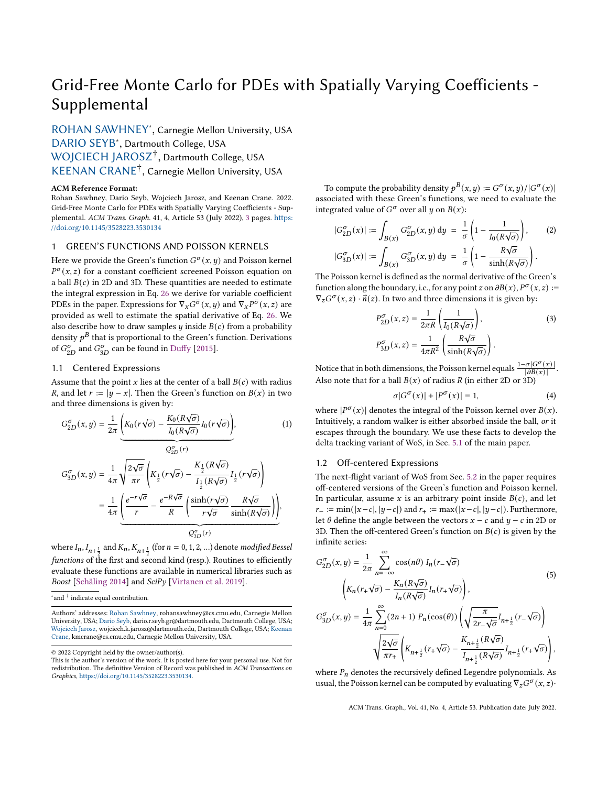# <span id="page-0-3"></span>Grid-Free Monte Carlo for PDEs with Spatially Varying Coeficients - Supplemental

[ROHAN SAWHNEY](HTTPS://ORCID.ORG/0000-0002-3661-1554)<sup>∗</sup> , Carnegie Mellon University, USA [DARIO SEYB](HTTPS://ORCID.ORG/0000-0002-0234-8401)<sup>∗</sup> , Dartmouth College, USA [WOJCIECH JAROSZ](HTTPS://ORCID.ORG/0000-0002-1652-0954)† , Dartmouth College, USA [KEENAN CRANE](HTTPS://ORCID.ORG/0000-0003-2772-7034)† , Carnegie Mellon University, USA

#### ACM Reference Format:

Rohan Sawhney, Dario Seyb, Wojciech Jarosz, and Keenan Crane. 2022. Grid-Free Monte Carlo for PDEs with Spatially Varying Coefficients - Supplemental. ACM Trans. Graph. 41, 4, Article 53 (July 2022), [3](#page-2-0) pages. [https:](https://doi.org/10.1145/3528223.3530134) [//doi.org/10.1145/3528223.3530134](https://doi.org/10.1145/3528223.3530134)

### 1 GREEN'S FUNCTIONS AND POISSON KERNELS

Here we provide the Green's function  $G^{\sigma}(x, y)$  and Poisson kernel  $P^{\sigma}(x, z)$  for a constant coefficient screened Poisson equation on a ball  $B(c)$  in 2D and 3D. These quantities are needed to estimate the integral expression in Eq. 26 we derive for variable coefficient PDEs in the paper. Expressions for  $\nabla_x G^{\overline{\sigma}}(x, y)$  and  $\nabla_x P^{\overline{\sigma}}(x, z)$  are provided as well to estimate the spatial derivative of Eq. 26. We also describe how to draw samples  $y$  inside  $B(c)$  from a probability density  $p^B$  that is proportional to the Green's function. Derivations of  $G_{2D}^{\sigma}$  and  $G_{3D}^{\sigma}$  can be found in Duffy [\[2015\]](#page-2-1).

#### <span id="page-0-0"></span>1.1 Centered Expressions

Assume that the point  $x$  lies at the center of a ball  $B(c)$  with radius *R*, and let  $r := |y - x|$ . Then the Green's function on  $B(x)$  in two and three dimensions is given by:

$$
G_{2D}^{\sigma}(x, y) = \frac{1}{2\pi} \underbrace{\left(K_0(r\sqrt{\sigma}) - \frac{K_0(R\sqrt{\sigma})}{I_0(R\sqrt{\sigma})} I_0(r\sqrt{\sigma})\right)}_{Q_{2D}^{\sigma}(r)},
$$
\n
$$
G_{3D}^{\sigma}(x, y) = \frac{1}{4\pi} \sqrt{\frac{2\sqrt{\sigma}}{\pi r}} \left(K_{\frac{1}{2}}(r\sqrt{\sigma}) - \frac{K_{\frac{1}{2}}(R\sqrt{\sigma})}{I_{\frac{1}{2}}(R\sqrt{\sigma})} I_{\frac{1}{2}}(r\sqrt{\sigma})\right)
$$
\n
$$
= \frac{1}{4\pi} \underbrace{\left(\frac{e^{-r\sqrt{\sigma}}}{r} - \frac{e^{-R\sqrt{\sigma}}}{R}\left(\frac{\sinh(r\sqrt{\sigma})}{r\sqrt{\sigma}} \frac{R\sqrt{\sigma}}{\sinh(R\sqrt{\sigma})}\right)\right)}_{Q_{3D}^{\sigma}(r)},
$$
\n(1)

where  $I_n$ ,  $I_{n+\frac{1}{2}}$  and  $K_n$ ,  $K_{n+\frac{1}{2}}$  (for  $n = 0, 1, 2, ...$ ) denote *modified Bessel* functions of the first and second kind (resp.). Routines to efficiently evaluate these functions are available in numerical libraries such as Boost [\[Schäling 2014\]](#page-2-2) and SciPy [\[Virtanen et al. 2019\]](#page-2-3).

To compute the probability density  $p^{B}(x, y) := G^{\sigma}(x, y) / |G^{\sigma}(x)|$ associated with these Green's functions, we need to evaluate the integrated value of  $G^{\sigma}$  over all y on  $B(x)$ :

$$
|G_{2D}^{\sigma}(x)| := \int_{B(x)} G_{2D}^{\sigma}(x, y) dy = \frac{1}{\sigma} \left( 1 - \frac{1}{I_0(R\sqrt{\sigma})} \right),
$$
 (2)  

$$
|G_{3D}^{\sigma}(x)| := \int_{B(x)} G_{3D}^{\sigma}(x, y) dy = \frac{1}{\sigma} \left( 1 - \frac{R\sqrt{\sigma}}{\sinh(R\sqrt{\sigma})} \right).
$$

The Poisson kernel is defned as the normal derivative of the Green's function along the boundary, i.e., for any point  $z$  on  $\partial B(x)$ ,  $P^{\sigma}(x, z) :=$  $\nabla_z G^{\sigma}(x, z) \cdot \vec{n}(z)$ . In two and three dimensions it is given by:

$$
P_{2D}^{\sigma}(x, z) = \frac{1}{2\pi R} \left( \frac{1}{I_0(R\sqrt{\sigma})} \right),
$$
  
\n
$$
P_{3D}^{\sigma}(x, z) = \frac{1}{4\pi R^2} \left( \frac{R\sqrt{\sigma}}{\sinh(R\sqrt{\sigma})} \right).
$$
\n(3)

Notice that in both dimensions, the Poisson kernel equals  $\frac{1-\sigma|G^{\sigma}(x)|}{|\partial B(x)|}$ . Also note that for a ball  $B(x)$  of radius R (in either 2D or 3D)

$$
\sigma |G^{\sigma}(x)| + |P^{\sigma}(x)| = 1,
$$
\n(4)

<span id="page-0-2"></span>where  $|P^{\sigma}(x)|$  denotes the integral of the Poisson kernel over  $B(x)$ . Intuitively, a random walker is either absorbed inside the ball, or it escapes through the boundary. We use these facts to develop the delta tracking variant of WoS, in Sec. 5.1 of the main paper.

# <span id="page-0-1"></span>1.2 Off-centered Expressions

The next-fight variant of WoS from Sec. 5.2 in the paper requires off-centered versions of the Green's function and Poisson kernel. In particular, assume  $x$  is an arbitrary point inside  $B(c)$ , and let  $r_{-} := \min(|x-c|, |y-c|)$  and  $r_{+} := \max(|x-c|, |y-c|)$ . Furthermore, let  $\theta$  define the angle between the vectors  $x - c$  and  $y - c$  in 2D or 3D. Then the off-centered Green's function on  $B(c)$  is given by the infnite series:

$$
G_{2D}^{\sigma}(x,y) = \frac{1}{2\pi} \sum_{n=-\infty}^{\infty} \cos(n\theta) I_n(r-\sqrt{\sigma})
$$
\n
$$
\left(K_n(r+\sqrt{\sigma}) - \frac{K_n(R\sqrt{\sigma})}{I_n(R\sqrt{\sigma})} I_n(r+\sqrt{\sigma})\right),
$$
\n
$$
G_{3D}^{\sigma}(x,y) = \frac{1}{4\pi} \sum_{n=0}^{\infty} (2n+1) P_n(\cos(\theta)) \left(\sqrt{\frac{\pi}{2r-\sqrt{\sigma}}} I_{n+\frac{1}{2}}(r-\sqrt{\sigma})\right)
$$
\n
$$
\sqrt{\frac{2\sqrt{\sigma}}{\pi r_+}} \left(K_{n+\frac{1}{2}}(r+\sqrt{\sigma}) - \frac{K_{n+\frac{1}{2}}(R\sqrt{\sigma})}{I_{n+\frac{1}{2}}(R\sqrt{\sigma})} I_{n+\frac{1}{2}}(r+\sqrt{\sigma})\right),
$$
\n(5)

where  $P_n$  denotes the recursively defined Legendre polynomials. As usual, the Poisson kernel can be computed by evaluating  $\nabla_z G^\sigma(x,z)$ .

ACM Trans. Graph., Vol. 41, No. 4, Article 53. Publication date: July 2022.

 $^{\ast}$  and  $^{\dagger}$  indicate equal contribution.

Authors' addresses: [Rohan Sawhney,](https://orcid.org/0000-0002-3661-1554) rohansawhney@cs.cmu.edu, Carnegie Mellon University, USA; [Dario Seyb,](https://orcid.org/0000-0002-0234-8401) dario.r.seyb.gr@dartmouth.edu, Dartmouth College, USA; [Wojciech Jarosz,](https://orcid.org/0000-0002-1652-0954) wojciech.k.jarosz@dartmouth.edu, Dartmouth College, USA; [Keenan](https://orcid.org/0000-0003-2772-7034) [Crane,](https://orcid.org/0000-0003-2772-7034) kmcrane@cs.cmu.edu, Carnegie Mellon University, USA.

<sup>©</sup> 2022 Copyright held by the owner/author(s).

This is the author's version of the work. It is posted here for your personal use. Not for redistribution. The defnitive Version of Record was published in ACM Transactions on Graphics, [https://doi.org/10.1145/3528223.3530134.](https://doi.org/10.1145/3528223.3530134)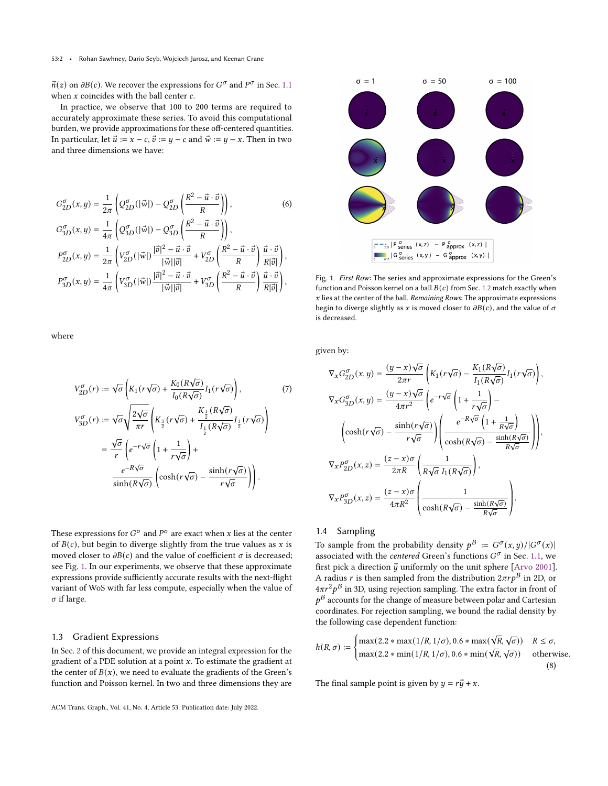#### 53:2 • Rohan Sawhney, Dario Seyb, Wojciech Jarosz, and Keenan Crane

 $\vec{n}(z)$  on  $\partial B(c)$ . We recover the expressions for  $G^{\sigma}$  and  $P^{\sigma}$  in Sec. [1.1](#page-0-0) when  $x$  coincides with the ball center  $c$ .

In practice, we observe that 100 to 200 terms are required to accurately approximate these series. To avoid this computational burden, we provide approximations for these off-centered quantities. In particular, let  $\vec{u} := x - c$ ,  $\vec{v} := y - c$  and  $\vec{w} := y - x$ . Then in two and three dimensions we have:

$$
G_{2D}^{\sigma}(x,y) = \frac{1}{2\pi} \left( Q_{2D}^{\sigma}(|\vec{w}|) - Q_{2D}^{\sigma} \left( \frac{R^2 - \vec{u} \cdot \vec{v}}{R} \right) \right),
$$
(6)  

$$
G_{3D}^{\sigma}(x,y) = \frac{1}{4\pi} \left( Q_{3D}^{\sigma}(|\vec{w}|) - Q_{3D}^{\sigma} \left( \frac{R^2 - \vec{u} \cdot \vec{v}}{R} \right) \right),
$$
  

$$
P_{2D}^{\sigma}(x,y) = \frac{1}{2\pi} \left( V_{2D}^{\sigma}(|\vec{w}|) \frac{|\vec{v}|^2 - \vec{u} \cdot \vec{v}}{|\vec{w}||\vec{v}|} + V_{2D}^{\sigma} \left( \frac{R^2 - \vec{u} \cdot \vec{v}}{R} \right) \frac{\vec{u} \cdot \vec{v}}{R |\vec{v}|} \right),
$$
  

$$
P_{3D}^{\sigma}(x,y) = \frac{1}{4\pi} \left( V_{3D}^{\sigma}(|\vec{w}|) \frac{|\vec{v}|^2 - \vec{u} \cdot \vec{v}}{|\vec{w}||\vec{v}|} + V_{3D}^{\sigma} \left( \frac{R^2 - \vec{u} \cdot \vec{v}}{R} \right) \frac{\vec{u} \cdot \vec{v}}{R |\vec{v}|} \right),
$$

where

$$
V_{2D}^{\sigma}(r) := \sqrt{\sigma} \left( K_1(r\sqrt{\sigma}) + \frac{K_0(R\sqrt{\sigma})}{I_0(R\sqrt{\sigma})} I_1(r\sqrt{\sigma}) \right),
$$
(7)  

$$
V_{3D}^{\sigma}(r) := \sqrt{\sigma} \sqrt{\frac{2\sqrt{\sigma}}{\pi r}} \left( K_{\frac{3}{2}}(r\sqrt{\sigma}) + \frac{K_{\frac{1}{2}}(R\sqrt{\sigma})}{I_{\frac{1}{2}}(R\sqrt{\sigma})} I_{\frac{3}{2}}(r\sqrt{\sigma}) \right)
$$

$$
= \frac{\sqrt{\sigma}}{r} \left( e^{-r\sqrt{\sigma}} \left( 1 + \frac{1}{r\sqrt{\sigma}} \right) + \frac{e^{-R\sqrt{\sigma}}}{\sinh(R\sqrt{\sigma})} \left( \cosh(r\sqrt{\sigma}) - \frac{\sinh(r\sqrt{\sigma})}{r\sqrt{\sigma}} \right) \right).
$$

These expressions for  $G^{\sigma}$  and  $P^{\sigma}$  are exact when  $x$  lies at the center of  $B(c)$ , but begin to diverge slightly from the true values as x is moved closer to  $\partial B(c)$  and the value of coefficient  $\sigma$  is decreased; see Fig. [1.](#page-1-0) In our experiments, we observe that these approximate expressions provide sufficiently accurate results with the next-flight variant of WoS with far less compute, especially when the value of  $\sigma$  if large.

### 1.3 Gradient Expressions

In Sec. [2](#page-2-4) of this document, we provide an integral expression for the gradient of a PDE solution at a point  $x$ . To estimate the gradient at the center of  $B(x)$ , we need to evaluate the gradients of the Green's function and Poisson kernel. In two and three dimensions they are

<span id="page-1-0"></span>

Fig. 1. First Row: The series and approximate expressions for the Green's function and Poisson kernel on a ball  $B(c)$  from Sec. [1.2](#page-0-1) match exactly when  $x$  lies at the center of the ball. Remaining Rows: The approximate expressions begin to diverge slightly as x is moved closer to  $\partial B(c)$ , and the value of  $\sigma$ is decreased.

given by:

$$
\nabla_{x}G_{2D}^{\sigma}(x,y) = \frac{(y-x)\sqrt{\sigma}}{2\pi r} \left( K_{1}(r\sqrt{\sigma}) - \frac{K_{1}(R\sqrt{\sigma})}{I_{1}(R\sqrt{\sigma})} I_{1}(r\sqrt{\sigma}) \right),
$$
  
\n
$$
\nabla_{x}G_{3D}^{\sigma}(x,y) = \frac{(y-x)\sqrt{\sigma}}{4\pi r^{2}} \left( e^{-r\sqrt{\sigma}} \left( 1 + \frac{1}{r\sqrt{\sigma}} \right) - \left( \cosh(r\sqrt{\sigma}) - \frac{\sinh(r\sqrt{\sigma})}{r\sqrt{\sigma}} \right) \left( \frac{e^{-R\sqrt{\sigma}} \left( 1 + \frac{1}{R\sqrt{\sigma}} \right)}{cosh(R\sqrt{\sigma}) - \frac{\sinh(R\sqrt{\sigma})}{R\sqrt{\sigma}}} \right) \right),
$$
  
\n
$$
\nabla_{x}P_{2D}^{\sigma}(x,z) = \frac{(z-x)\sigma}{2\pi R} \left( \frac{1}{R\sqrt{\sigma} I_{1}(R\sqrt{\sigma})} \right),
$$
  
\n
$$
\nabla_{x}P_{3D}^{\sigma}(x,z) = \frac{(z-x)\sigma}{4\pi R^{2}} \left( \frac{1}{\cosh(R\sqrt{\sigma}) - \frac{\sinh(R\sqrt{\sigma})}{R\sqrt{\sigma}}} \right).
$$

#### 1.4 Sampling

To sample from the probability density  $p^B := G^{\sigma}(x, y) / |G^{\sigma}(x)|$ associated with the *centered* Green's functions  $G^{\sigma}$  in Sec. [1.1,](#page-0-0) we first pick a direction  $\vec{y}$  uniformly on the unit sphere [\[Arvo 2001\]](#page-2-5). A radius *r* is then sampled from the distribution  $2\pi r p^B$  in 2D, or  $4\pi r^2 p^B$  in 3D, using rejection sampling. The extra factor in front of  $p^B$  accounts for the change of measure between polar and Cartesian coordinates. For rejection sampling, we bound the radial density by the following case dependent function:

$$
h(R,\sigma) := \begin{cases} \max(2.2 * \max(1/R, 1/\sigma), 0.6 * \max(\sqrt{R}, \sqrt{\sigma})) & R \le \sigma, \\ \max(2.2 * \min(1/R, 1/\sigma), 0.6 * \min(\sqrt{R}, \sqrt{\sigma})) & \text{otherwise.} \end{cases}
$$
(8)

The final sample point is given by  $y = r\vec{y} + x$ .

ACM Trans. Graph., Vol. 41, No. 4, Article 53. Publication date: July 2022.